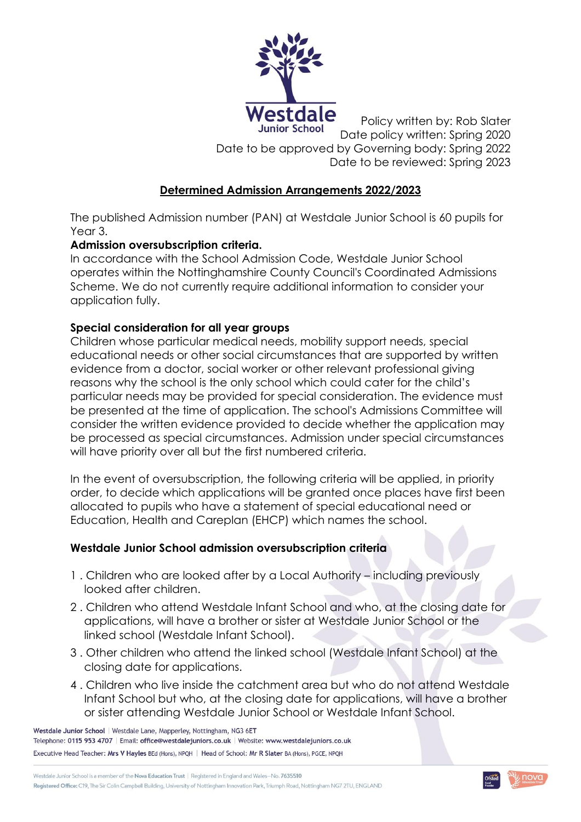

Policy written by: Rob Slater Date policy written: Spring 2020 Date to be approved by Governing body: Spring 2022 Date to be reviewed: Spring 2023

# **Determined Admission Arrangements 2022/2023**

The published Admission number (PAN) at Westdale Junior School is 60 pupils for Year 3.

# **Admission oversubscription criteria.**

In accordance with the School Admission Code, Westdale Junior School operates within the Nottinghamshire County Council's Coordinated Admissions Scheme. We do not currently require additional information to consider your application fully.

# **Special consideration for all year groups**

Children whose particular medical needs, mobility support needs, special educational needs or other social circumstances that are supported by written evidence from a doctor, social worker or other relevant professional giving reasons why the school is the only school which could cater for the child's particular needs may be provided for special consideration. The evidence must be presented at the time of application. The school's Admissions Committee will consider the written evidence provided to decide whether the application may be processed as special circumstances. Admission under special circumstances will have priority over all but the first numbered criteria.

In the event of oversubscription, the following criteria will be applied, in priority order, to decide which applications will be granted once places have first been allocated to pupils who have a statement of special educational need or Education, Health and Careplan (EHCP) which names the school.

# **Westdale Junior School admission oversubscription criteria**

- 1 . Children who are looked after by a Local Authority including previously looked after children.
- 2 . Children who attend Westdale Infant School and who, at the closing date for applications, will have a brother or sister at Westdale Junior School or the linked school (Westdale Infant School).
- 3 . Other children who attend the linked school (Westdale Infant School) at the closing date for applications.
- 4 . Children who live inside the catchment area but who do not attend Westdale Infant School but who, at the closing date for applications, will have a brother or sister attending Westdale Junior School or Westdale Infant School.



Westdale Junior School | Westdale Lane, Mapperley, Nottingham, NG3 6ET Telephone: 0115 953 4707 | Email: office@westdalejuniors.co.uk | Website: www.westdalejuniors.co.uk Executive Head Teacher: Mrs V Hayles BEd (Hons), NPQH | Head of School: Mr R Slater BA (Hons), PGCE, NPQH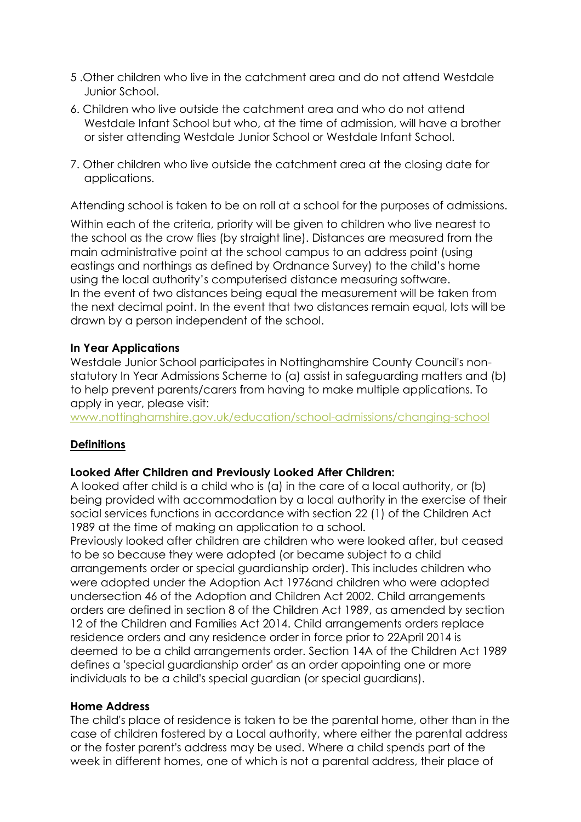- 5 .Other children who live in the catchment area and do not attend Westdale Junior School.
- 6. Children who live outside the catchment area and who do not attend Westdale Infant School but who, at the time of admission, will have a brother or sister attending Westdale Junior School or Westdale Infant School.
- 7. Other children who live outside the catchment area at the closing date for applications.

Attending school is taken to be on roll at a school for the purposes of admissions.

Within each of the criteria, priority will be given to children who live nearest to the school as the crow flies (by straight line). Distances are measured from the main administrative point at the school campus to an address point (using eastings and northings as defined by Ordnance Survey) to the child's home using the local authority's computerised distance measuring software. In the event of two distances being equal the measurement will be taken from the next decimal point. In the event that two distances remain equal, lots will be drawn by a person independent of the school.

#### **In Year Applications**

Westdale Junior School participates in Nottinghamshire County Council's nonstatutory In Year Admissions Scheme to (a) assist in safeguarding matters and (b) to help prevent parents/carers from having to make multiple applications. To apply in year, please visit:

[www.nottinghamshire.gov.uk/education/school-admissions/changing-school](http://www.nottinghamshire.gov.uk/education/school-admissions/changing-school)

# **Definitions**

#### **Looked After Children and Previously Looked After Children:**

A looked after child is a child who is (a) in the care of a local authority, or (b) being provided with accommodation by a local authority in the exercise of their social services functions in accordance with section 22 (1) of the Children Act 1989 at the time of making an application to a school.

Previously looked after children are children who were looked after, but ceased to be so because they were adopted (or became subject to a child arrangements order or special guardianship order). This includes children who were adopted under the Adoption Act 1976and children who were adopted undersection 46 of the Adoption and Children Act 2002. Child arrangements orders are defined in section 8 of the Children Act 1989, as amended by section 12 of the Children and Families Act 2014. Child arrangements orders replace residence orders and any residence order in force prior to 22April 2014 is deemed to be a child arrangements order. Section 14A of the Children Act 1989 defines a 'special guardianship order' as an order appointing one or more individuals to be a child's special guardian (or special guardians).

#### **Home Address**

The child's place of residence is taken to be the parental home, other than in the case of children fostered by a Local authority, where either the parental address or the foster parent's address may be used. Where a child spends part of the week in different homes, one of which is not a parental address, their place of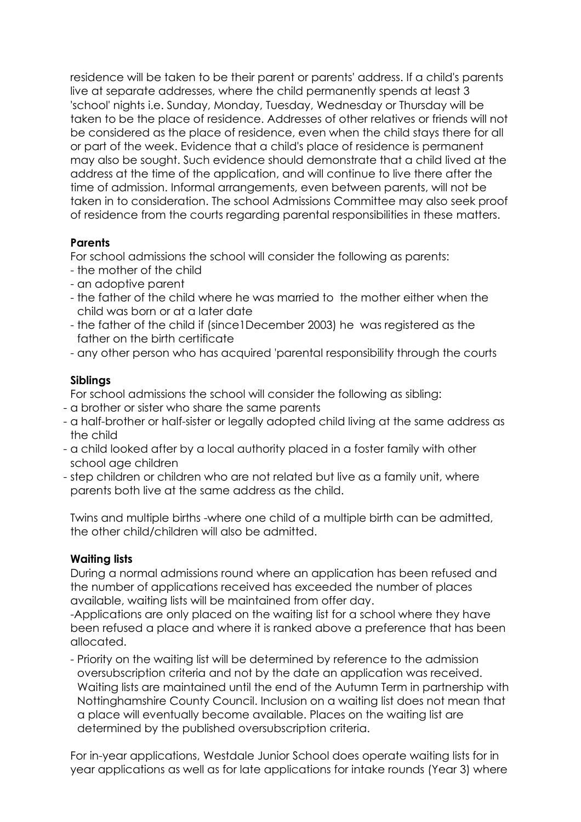residence will be taken to be their parent or parents' address. If a child's parents live at separate addresses, where the child permanently spends at least 3 'school' nights i.e. Sunday, Monday, Tuesday, Wednesday or Thursday will be taken to be the place of residence. Addresses of other relatives or friends will not be considered as the place of residence, even when the child stays there for all or part of the week. Evidence that a child's place of residence is permanent may also be sought. Such evidence should demonstrate that a child lived at the address at the time of the application, and will continue to live there after the time of admission. Informal arrangements, even between parents, will not be taken in to consideration. The school Admissions Committee may also seek proof of residence from the courts regarding parental responsibilities in these matters.

#### **Parents**

For school admissions the school will consider the following as parents:

- the mother of the child
- an adoptive parent
- the father of the child where he was married to the mother either when the child was born or at a later date
- the father of the child if (since1December 2003) he was registered as the father on the birth certificate
- any other person who has acquired 'parental responsibility through the courts

# **Siblings**

For school admissions the school will consider the following as sibling:

- a brother or sister who share the same parents
- a half-brother or half-sister or legally adopted child living at the same address as the child
- a child looked after by a local authority placed in a foster family with other school age children
- step children or children who are not related but live as a family unit, where parents both live at the same address as the child.

Twins and multiple births -where one child of a multiple birth can be admitted, the other child/children will also be admitted.

# **Waiting lists**

During a normal admissions round where an application has been refused and the number of applications received has exceeded the number of places available, waiting lists will be maintained from offer day.

-Applications are only placed on the waiting list for a school where they have been refused a place and where it is ranked above a preference that has been allocated.

- Priority on the waiting list will be determined by reference to the admission oversubscription criteria and not by the date an application was received. Waiting lists are maintained until the end of the Autumn Term in partnership with Nottinghamshire County Council. Inclusion on a waiting list does not mean that a place will eventually become available. Places on the waiting list are determined by the published oversubscription criteria.

For in-year applications, Westdale Junior School does operate waiting lists for in year applications as well as for late applications for intake rounds (Year 3) where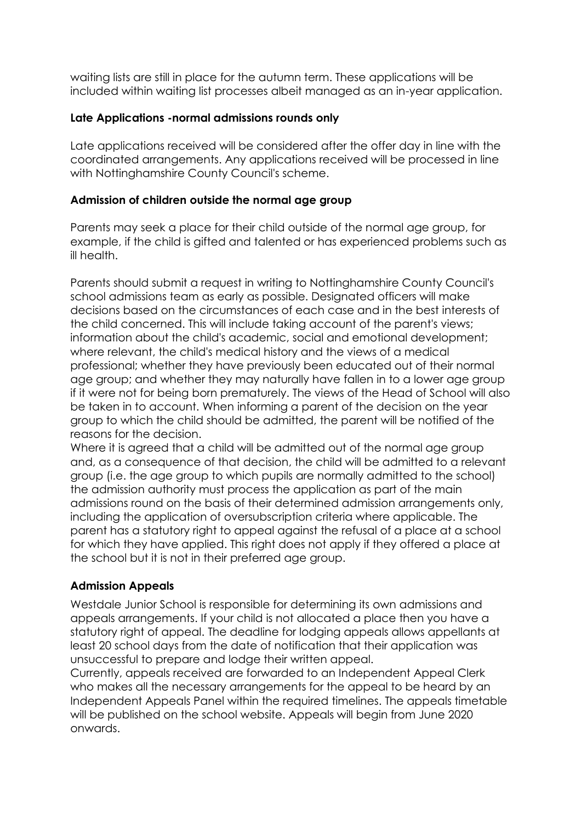waiting lists are still in place for the autumn term. These applications will be included within waiting list processes albeit managed as an in-year application.

# **Late Applications -normal admissions rounds only**

Late applications received will be considered after the offer day in line with the coordinated arrangements. Any applications received will be processed in line with Nottinghamshire County Council's scheme.

#### **Admission of children outside the normal age group**

Parents may seek a place for their child outside of the normal age group, for example, if the child is gifted and talented or has experienced problems such as ill health.

Parents should submit a request in writing to Nottinghamshire County Council's school admissions team as early as possible. Designated officers will make decisions based on the circumstances of each case and in the best interests of the child concerned. This will include taking account of the parent's views; information about the child's academic, social and emotional development; where relevant, the child's medical history and the views of a medical professional; whether they have previously been educated out of their normal age group; and whether they may naturally have fallen in to a lower age group if it were not for being born prematurely. The views of the Head of School will also be taken in to account. When informing a parent of the decision on the year group to which the child should be admitted, the parent will be notified of the reasons for the decision.

Where it is agreed that a child will be admitted out of the normal age group and, as a consequence of that decision, the child will be admitted to a relevant group (i.e. the age group to which pupils are normally admitted to the school) the admission authority must process the application as part of the main admissions round on the basis of their determined admission arrangements only, including the application of oversubscription criteria where applicable. The parent has a statutory right to appeal against the refusal of a place at a school for which they have applied. This right does not apply if they offered a place at the school but it is not in their preferred age group.

# **Admission Appeals**

Westdale Junior School is responsible for determining its own admissions and appeals arrangements. If your child is not allocated a place then you have a statutory right of appeal. The deadline for lodging appeals allows appellants at least 20 school days from the date of notification that their application was unsuccessful to prepare and lodge their written appeal.

Currently, appeals received are forwarded to an Independent Appeal Clerk who makes all the necessary arrangements for the appeal to be heard by an Independent Appeals Panel within the required timelines. The appeals timetable will be published on the school website. Appeals will begin from June 2020 onwards.